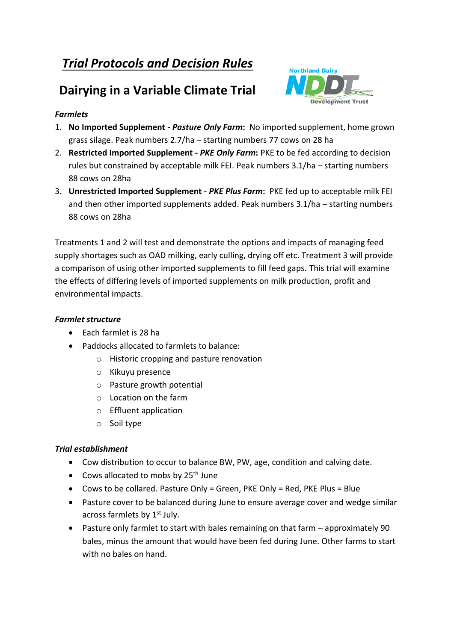# *Trial Protocols and Decision Rules*

# **Dairying in a Variable Climate Trial**



### *Farmlets*

- 1. **No Imported Supplement -** *Pasture Only Farm***:** No imported supplement, home grown grass silage. Peak numbers 2.7/ha – starting numbers 77 cows on 28 ha
- 2. **Restricted Imported Supplement -** *PKE Only Farm***:** PKE to be fed according to decision rules but constrained by acceptable milk FEI. Peak numbers 3.1/ha – starting numbers 88 cows on 28ha
- 3. **Unrestricted Imported Supplement -** *PKE Plus Farm***:** PKE fed up to acceptable milk FEI and then other imported supplements added. Peak numbers 3.1/ha – starting numbers 88 cows on 28ha

Treatments 1 and 2 will test and demonstrate the options and impacts of managing feed supply shortages such as OAD milking, early culling, drying off etc. Treatment 3 will provide a comparison of using other imported supplements to fill feed gaps. This trial will examine the effects of differing levels of imported supplements on milk production, profit and environmental impacts.

### *Farmlet structure*

- Each farmlet is 28 ha
- Paddocks allocated to farmlets to balance:
	- o Historic cropping and pasture renovation
	- o Kikuyu presence
	- o Pasture growth potential
	- o Location on the farm
	- o Effluent application
	- o Soil type

## *Trial establishment*

- Cow distribution to occur to balance BW, PW, age, condition and calving date.
- Cows allocated to mobs by 25<sup>th</sup> June
- Cows to be collared. Pasture Only = Green, PKE Only = Red, PKE Plus = Blue
- Pasture cover to be balanced during June to ensure average cover and wedge similar across farmlets by 1<sup>st</sup> July.
- Pasture only farmlet to start with bales remaining on that farm approximately 90 bales, minus the amount that would have been fed during June. Other farms to start with no bales on hand.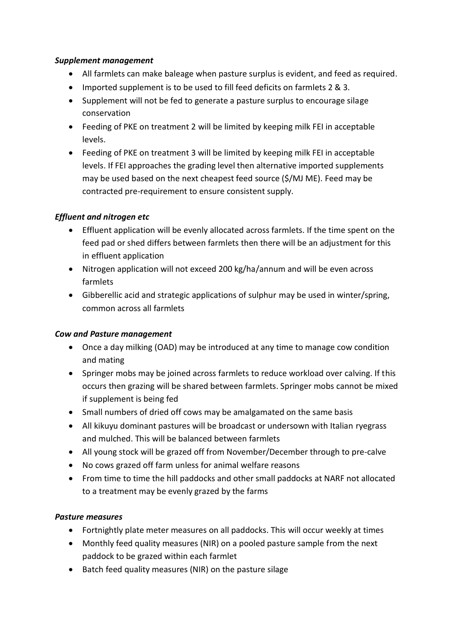### *Supplement management*

- All farmlets can make baleage when pasture surplus is evident, and feed as required.
- Imported supplement is to be used to fill feed deficits on farmlets 2 & 3.
- Supplement will not be fed to generate a pasture surplus to encourage silage conservation
- Feeding of PKE on treatment 2 will be limited by keeping milk FEI in acceptable levels.
- Feeding of PKE on treatment 3 will be limited by keeping milk FEI in acceptable levels. If FEI approaches the grading level then alternative imported supplements may be used based on the next cheapest feed source (\$/MJ ME). Feed may be contracted pre-requirement to ensure consistent supply.

### *Effluent and nitrogen etc*

- Effluent application will be evenly allocated across farmlets. If the time spent on the feed pad or shed differs between farmlets then there will be an adjustment for this in effluent application
- Nitrogen application will not exceed 200 kg/ha/annum and will be even across farmlets
- Gibberellic acid and strategic applications of sulphur may be used in winter/spring, common across all farmlets

### *Cow and Pasture management*

- Once a day milking (OAD) may be introduced at any time to manage cow condition and mating
- Springer mobs may be joined across farmlets to reduce workload over calving. If this occurs then grazing will be shared between farmlets. Springer mobs cannot be mixed if supplement is being fed
- Small numbers of dried off cows may be amalgamated on the same basis
- All kikuyu dominant pastures will be broadcast or undersown with Italian ryegrass and mulched. This will be balanced between farmlets
- All young stock will be grazed off from November/December through to pre-calve
- No cows grazed off farm unless for animal welfare reasons
- From time to time the hill paddocks and other small paddocks at NARF not allocated to a treatment may be evenly grazed by the farms

### *Pasture measures*

- Fortnightly plate meter measures on all paddocks. This will occur weekly at times
- Monthly feed quality measures (NIR) on a pooled pasture sample from the next paddock to be grazed within each farmlet
- Batch feed quality measures (NIR) on the pasture silage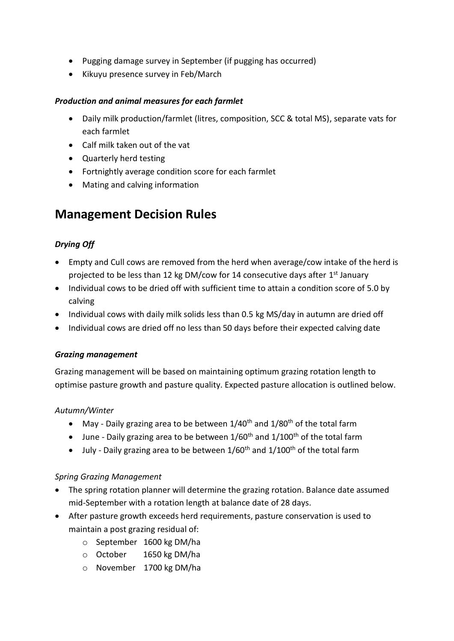- Pugging damage survey in September (if pugging has occurred)
- Kikuyu presence survey in Feb/March

### *Production and animal measures for each farmlet*

- Daily milk production/farmlet (litres, composition, SCC & total MS), separate vats for each farmlet
- Calf milk taken out of the vat
- Quarterly herd testing
- Fortnightly average condition score for each farmlet
- Mating and calving information

# **Management Decision Rules**

## *Drying Off*

- Empty and Cull cows are removed from the herd when average/cow intake of the herd is projected to be less than 12 kg DM/cow for 14 consecutive days after 1<sup>st</sup> January
- Individual cows to be dried off with sufficient time to attain a condition score of 5.0 by calving
- Individual cows with daily milk solids less than 0.5 kg MS/day in autumn are dried off
- Individual cows are dried off no less than 50 days before their expected calving date

### *Grazing management*

Grazing management will be based on maintaining optimum grazing rotation length to optimise pasture growth and pasture quality. Expected pasture allocation is outlined below.

### *Autumn/Winter*

- May Daily grazing area to be between  $1/40^{th}$  and  $1/80^{th}$  of the total farm
- June Daily grazing area to be between  $1/60^{th}$  and  $1/100^{th}$  of the total farm
- July Daily grazing area to be between  $1/60<sup>th</sup>$  and  $1/100<sup>th</sup>$  of the total farm

### *Spring Grazing Management*

- The spring rotation planner will determine the grazing rotation. Balance date assumed mid-September with a rotation length at balance date of 28 days.
- After pasture growth exceeds herd requirements, pasture conservation is used to maintain a post grazing residual of:
	- o September 1600 kg DM/ha
	- o October 1650 kg DM/ha
	- o November 1700 kg DM/ha